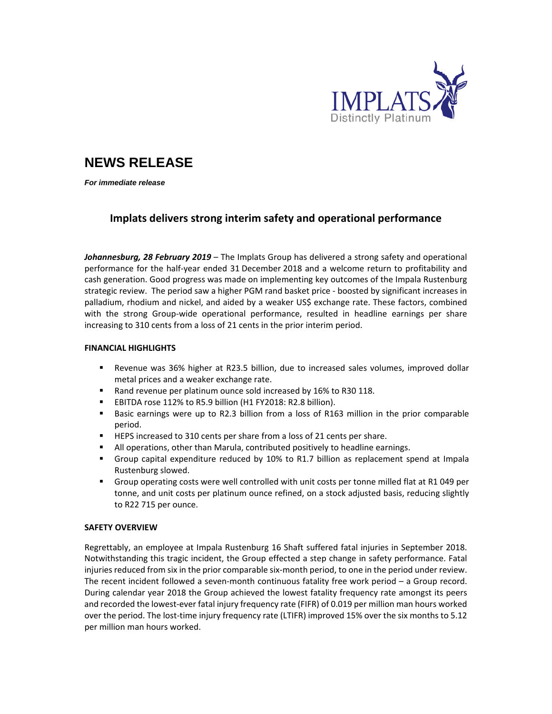

# **NEWS RELEASE**

*For immediate release* 

# **Implats delivers strong interim safety and operational performance**

*Johannesburg, 28 February 2019* – The Implats Group has delivered a strong safety and operational performance for the half‐year ended 31 December 2018 and a welcome return to profitability and cash generation. Good progress was made on implementing key outcomes of the Impala Rustenburg strategic review. The period saw a higher PGM rand basket price ‐ boosted by significant increases in palladium, rhodium and nickel, and aided by a weaker US\$ exchange rate. These factors, combined with the strong Group-wide operational performance, resulted in headline earnings per share increasing to 310 cents from a loss of 21 cents in the prior interim period.

#### **FINANCIAL HIGHLIGHTS**

- Revenue was 36% higher at R23.5 billion, due to increased sales volumes, improved dollar metal prices and a weaker exchange rate.
- Rand revenue per platinum ounce sold increased by 16% to R30 118.
- EBITDA rose 112% to R5.9 billion (H1 FY2018: R2.8 billion).
- Basic earnings were up to R2.3 billion from a loss of R163 million in the prior comparable period.
- HEPS increased to 310 cents per share from a loss of 21 cents per share.
- All operations, other than Marula, contributed positively to headline earnings.
- Group capital expenditure reduced by 10% to R1.7 billion as replacement spend at Impala Rustenburg slowed.
- Group operating costs were well controlled with unit costs per tonne milled flat at R1 049 per tonne, and unit costs per platinum ounce refined, on a stock adjusted basis, reducing slightly to R22 715 per ounce.

# **SAFETY OVERVIEW**

Regrettably, an employee at Impala Rustenburg 16 Shaft suffered fatal injuries in September 2018. Notwithstanding this tragic incident, the Group effected a step change in safety performance. Fatal injuries reduced from six in the prior comparable six-month period, to one in the period under review. The recent incident followed a seven-month continuous fatality free work period – a Group record. During calendar year 2018 the Group achieved the lowest fatality frequency rate amongst its peers and recorded the lowest-ever fatal injury frequency rate (FIFR) of 0.019 per million man hours worked over the period. The lost‐time injury frequency rate (LTIFR) improved 15% over the six months to 5.12 per million man hours worked.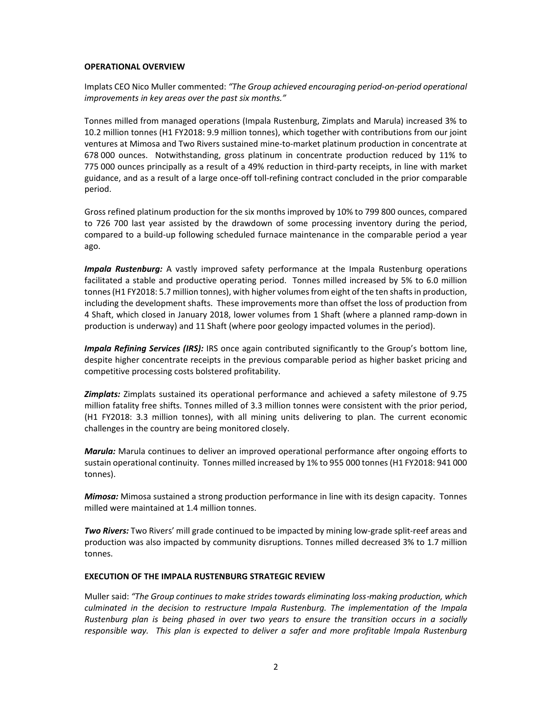#### **OPERATIONAL OVERVIEW**

Implats CEO Nico Muller commented: *"The Group achieved encouraging period‐on‐period operational improvements in key areas over the past six months."*

Tonnes milled from managed operations (Impala Rustenburg, Zimplats and Marula) increased 3% to 10.2 million tonnes (H1 FY2018: 9.9 million tonnes), which together with contributions from our joint ventures at Mimosa and Two Rivers sustained mine‐to‐market platinum production in concentrate at 678 000 ounces. Notwithstanding, gross platinum in concentrate production reduced by 11% to 775 000 ounces principally as a result of a 49% reduction in third‐party receipts, in line with market guidance, and as a result of a large once‐off toll‐refining contract concluded in the prior comparable period.

Gross refined platinum production for the six months improved by 10% to 799 800 ounces, compared to 726 700 last year assisted by the drawdown of some processing inventory during the period, compared to a build‐up following scheduled furnace maintenance in the comparable period a year ago.

*Impala Rustenburg:* A vastly improved safety performance at the Impala Rustenburg operations facilitated a stable and productive operating period. Tonnes milled increased by 5% to 6.0 million tonnes (H1 FY2018: 5.7 million tonnes), with higher volumes from eight of the ten shafts in production, including the development shafts. These improvements more than offset the loss of production from 4 Shaft, which closed in January 2018, lower volumes from 1 Shaft (where a planned ramp‐down in production is underway) and 11 Shaft (where poor geology impacted volumes in the period).

*Impala Refining Services (IRS):* IRS once again contributed significantly to the Group's bottom line, despite higher concentrate receipts in the previous comparable period as higher basket pricing and competitive processing costs bolstered profitability.

*Zimplats:* Zimplats sustained its operational performance and achieved a safety milestone of 9.75 million fatality free shifts. Tonnes milled of 3.3 million tonnes were consistent with the prior period, (H1 FY2018: 3.3 million tonnes), with all mining units delivering to plan. The current economic challenges in the country are being monitored closely.

*Marula:* Marula continues to deliver an improved operational performance after ongoing efforts to sustain operational continuity. Tonnes milled increased by 1% to 955 000 tonnes(H1 FY2018: 941 000 tonnes).

*Mimosa:* Mimosa sustained a strong production performance in line with its design capacity. Tonnes milled were maintained at 1.4 million tonnes.

*Two Rivers:* Two Rivers' mill grade continued to be impacted by mining low‐grade split‐reef areas and production was also impacted by community disruptions. Tonnes milled decreased 3% to 1.7 million tonnes.

# **EXECUTION OF THE IMPALA RUSTENBURG STRATEGIC REVIEW**

Muller said: *"The Group continues to make strides towards eliminating loss*‐*making production, which culminated in the decision to restructure Impala Rustenburg. The implementation of the Impala Rustenburg plan is being phased in over two years to ensure the transition occurs in a socially responsible way. This plan is expected to deliver a safer and more profitable Impala Rustenburg*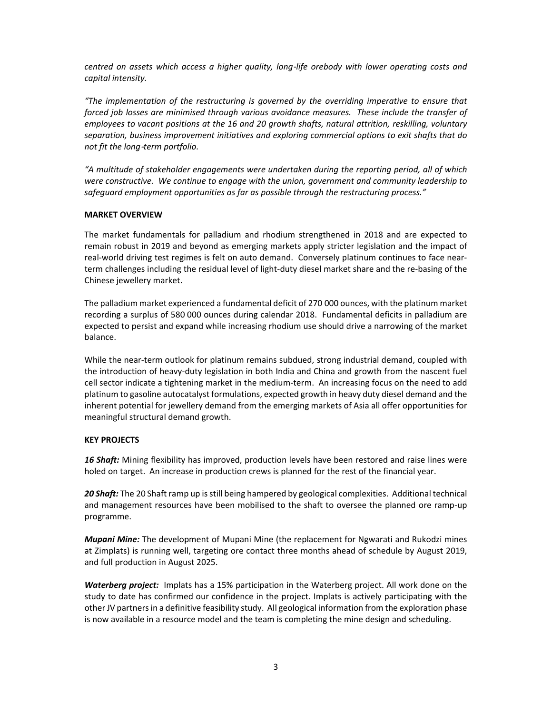*centred on assets which access a higher quality, long*‐*life orebody with lower operating costs and capital intensity.* 

*"The implementation of the restructuring is governed by the overriding imperative to ensure that forced job losses are minimised through various avoidance measures. These include the transfer of employees to vacant positions at the 16 and 20 growth shafts, natural attrition, reskilling, voluntary separation, business improvement initiatives and exploring commercial options to exit shafts that do not fit the long*‐*term portfolio.*

*"A multitude of stakeholder engagements were undertaken during the reporting period, all of which were constructive. We continue to engage with the union, government and community leadership to safeguard employment opportunities as far as possible through the restructuring process."*

# **MARKET OVERVIEW**

The market fundamentals for palladium and rhodium strengthened in 2018 and are expected to remain robust in 2019 and beyond as emerging markets apply stricter legislation and the impact of real‐world driving test regimes is felt on auto demand. Conversely platinum continues to face near‐ term challenges including the residual level of light‐duty diesel market share and the re‐basing of the Chinese jewellery market.

The palladium market experienced a fundamental deficit of 270 000 ounces, with the platinum market recording a surplus of 580 000 ounces during calendar 2018. Fundamental deficits in palladium are expected to persist and expand while increasing rhodium use should drive a narrowing of the market balance.

While the near-term outlook for platinum remains subdued, strong industrial demand, coupled with the introduction of heavy-duty legislation in both India and China and growth from the nascent fuel cell sector indicate a tightening market in the medium‐term. An increasing focus on the need to add platinum to gasoline autocatalyst formulations, expected growth in heavy duty diesel demand and the inherent potential for jewellery demand from the emerging markets of Asia all offer opportunities for meaningful structural demand growth.

#### **KEY PROJECTS**

16 **Shaft:** Mining flexibility has improved, production levels have been restored and raise lines were holed on target. An increase in production crews is planned for the rest of the financial year.

20 **Shaft:** The 20 Shaft ramp up is still being hampered by geological complexities. Additional technical and management resources have been mobilised to the shaft to oversee the planned ore ramp‐up programme.

*Mupani Mine:* The development of Mupani Mine (the replacement for Ngwarati and Rukodzi mines at Zimplats) is running well, targeting ore contact three months ahead of schedule by August 2019, and full production in August 2025.

*Waterberg project:* Implats has a 15% participation in the Waterberg project. All work done on the study to date has confirmed our confidence in the project. Implats is actively participating with the other JV partners in a definitive feasibility study. All geological information from the exploration phase is now available in a resource model and the team is completing the mine design and scheduling.